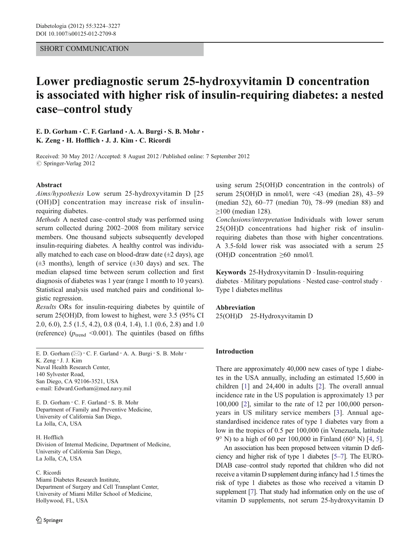## SHORT COMMUNICATION

# Lower prediagnostic serum 25-hydroxyvitamin D concentration is associated with higher risk of insulin-requiring diabetes: a nested case–control study

## E. D. Gorham  $\cdot$  C. F. Garland  $\cdot$  A. A. Burgi  $\cdot$  S. B. Mohr  $\cdot$ K. Zeng · H. Hofflich · J. J. Kim · C. Ricordi

Received: 30 May 2012 / Accepted: 8 August 2012 / Published online: 7 September 2012  $\oslash$  Springer-Verlag 2012

#### Abstract

Aims/hypothesis Low serum 25-hydroxyvitamin D [25 (OH)D] concentration may increase risk of insulinrequiring diabetes.

Methods A nested case–control study was performed using serum collected during 2002–2008 from military service members. One thousand subjects subsequently developed insulin-requiring diabetes. A healthy control was individually matched to each case on blood-draw date  $(\pm 2 \text{ days})$ , age  $(\pm 3$  months), length of service  $(\pm 30$  days) and sex. The median elapsed time between serum collection and first diagnosis of diabetes was 1 year (range 1 month to 10 years). Statistical analysis used matched pairs and conditional logistic regression.

Results ORs for insulin-requiring diabetes by quintile of serum 25(OH)D, from lowest to highest, were 3.5 (95% CI 2.0, 6.0), 2.5 (1.5, 4.2), 0.8 (0.4, 1.4), 1.1 (0.6, 2.8) and 1.0 (reference) ( $p_{\text{trend}}$  <0.001). The quintiles (based on fifths

E. D. Gorham  $(\boxtimes) \cdot C$ . F. Garland  $\cdot$  A. A. Burgi  $\cdot$  S. B. Mohr  $\cdot$ K. Zeng : J. J. Kim Naval Health Research Center, 140 Sylvester Road, San Diego, CA 92106-3521, USA e-mail: Edward.Gorham@med.navy.mil

E. D. Gorham : C. F. Garland : S. B. Mohr Department of Family and Preventive Medicine, University of California San Diego, La Jolla, CA, USA

H. Hofflich Division of Internal Medicine, Department of Medicine, University of California San Diego, La Jolla, CA, USA

C. Ricordi

Miami Diabetes Research Institute, Department of Surgery and Cell Transplant Center, University of Miami Miller School of Medicine, Hollywood, FL, USA

using serum 25(OH)D concentration in the controls) of serum 25(OH)D in nmol/l, were <43 (median 28), 43–59 (median 52), 60–77 (median 70), 78–99 (median 88) and ≥100 (median 128).

Conclusions/interpretation Individuals with lower serum 25(OH)D concentrations had higher risk of insulinrequiring diabetes than those with higher concentrations. A 3.5-fold lower risk was associated with a serum 25 (OH)D concentration ≥60 nmol/l.

Keywords 25-Hydroxyvitamin D . Insulin-requiring diabetes . Military populations . Nested case–control study . Type 1 diabetes mellitus

#### Abbreviation

25(OH)D 25-Hydroxyvitamin D

#### Introduction

There are approximately 40,000 new cases of type 1 diabetes in the USA annually, including an estimated 15,600 in children [[1\]](#page-3-0) and 24,400 in adults [[2\]](#page-3-0). The overall annual incidence rate in the US population is approximately 13 per 100,000 [[2\]](#page-3-0), similar to the rate of 12 per 100,000 personyears in US military service members [[3\]](#page-3-0). Annual agestandardised incidence rates of type 1 diabetes vary from a low in the tropics of 0.5 per 100,000 (in Venezuela, latitude 9° N) to a high of 60 per 100,000 in Finland (60° N) [\[4](#page-3-0), [5\]](#page-3-0).

An association has been proposed between vitamin D deficiency and higher risk of type 1 diabetes [\[5](#page-3-0)–[7\]](#page-3-0). The EURO-DIAB case–control study reported that children who did not receive a vitamin D supplement during infancy had 1.5 times the risk of type 1 diabetes as those who received a vitamin D supplement [\[7\]](#page-3-0). That study had information only on the use of vitamin D supplements, not serum 25-hydroxyvitamin D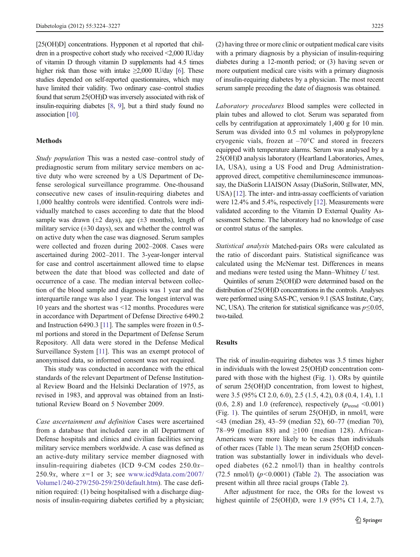[25(OH)D] concentrations. Hypponen et al reported that children in a prospective cohort study who received <2,000 IU/day of vitamin D through vitamin D supplements had 4.5 times higher risk than those with intake  $\geq 2,000$  IU/day [\[6](#page-3-0)]. These studies depended on self-reported questionnaires, which may have limited their validity. Two ordinary case–control studies found that serum 25(OH)D was inversely associated with risk of insulin-requiring diabetes [\[8,](#page-3-0) [9](#page-3-0)], but a third study found no association [\[10](#page-3-0)].

#### Methods

Study population This was a nested case–control study of prediagnostic serum from military service members on active duty who were screened by a US Department of Defense serological surveillance programme. One-thousand consecutive new cases of insulin-requiring diabetes and 1,000 healthy controls were identified. Controls were individually matched to cases according to date that the blood sample was drawn ( $\pm 2$  days), age ( $\pm 3$  months), length of military service  $(\pm 30 \text{ days})$ , sex and whether the control was on active duty when the case was diagnosed. Serum samples were collected and frozen during 2002–2008. Cases were ascertained during 2002–2011. The 3-year-longer interval for case and control ascertainment allowed time to elapse between the date that blood was collected and date of occurrence of a case. The median interval between collection of the blood sample and diagnosis was 1 year and the interquartile range was also 1 year. The longest interval was 10 years and the shortest was <12 months. Procedures were in accordance with Department of Defense Directive 6490.2 and Instruction 6490.3 [\[11](#page-3-0)]. The samples were frozen in 0.5 ml portions and stored in the Department of Defense Serum Repository. All data were stored in the Defense Medical Surveillance System [[11](#page-3-0)]. This was an exempt protocol of anonymised data, so informed consent was not required.

This study was conducted in accordance with the ethical standards of the relevant Department of Defense Institutional Review Board and the Helsinki Declaration of 1975, as revised in 1983, and approval was obtained from an Institutional Review Board on 5 November 2009.

Case ascertainment and definition Cases were ascertained from a database that included care in all Department of Defense hospitals and clinics and civilian facilities serving military service members worldwide. A case was defined as an active-duty military service member diagnosed with insulin-requiring diabetes (ICD 9-CM codes  $250.0x-$ 250.9x, where  $x=1$  or 3; see [www.icd9data.com/2007/](http://www.icd9data.com/2007/Volume1/240-279/250-259/250/default.htm) [Volume1/240-279/250-259/250/default.htm](http://www.icd9data.com/2007/Volume1/240-279/250-259/250/default.htm)). The case definition required: (1) being hospitalised with a discharge diagnosis of insulin-requiring diabetes certified by a physician; (2) having three or more clinic or outpatient medical care visits with a primary diagnosis by a physician of insulin-requiring diabetes during a 12-month period; or (3) having seven or more outpatient medical care visits with a primary diagnosis of insulin-requiring diabetes by a physician. The most recent serum sample preceding the date of diagnosis was obtained.

Laboratory procedures Blood samples were collected in plain tubes and allowed to clot. Serum was separated from cells by centrifugation at approximately 1,400 g for 10 min. Serum was divided into 0.5 ml volumes in polypropylene cryogenic vials, frozen at –70°C and stored in freezers equipped with temperature alarms. Serum was analysed by a 25(OH)D analysis laboratory (Heartland Laboratories, Ames, IA, USA), using a US Food and Drug Administrationapproved direct, competitive chemiluminescence immunoassay, the DiaSorin LIAISON Assay (DiaSorin, Stillwater, MN, USA) [\[12](#page-3-0)]. The inter- and intra-assay coefficients of variation were 12.4% and 5.4%, respectively [[12\]](#page-3-0). Measurements were validated according to the Vitamin D External Quality Assessment Scheme. The laboratory had no knowledge of case or control status of the samples.

Statistical analysis Matched-pairs ORs were calculated as the ratio of discordant pairs. Statistical significance was calculated using the McNemar test. Differences in means and medians were tested using the Mann–Whitney U test.

Quintiles of serum 25(OH)D were determined based on the distribution of 25(OH)D concentrations in the controls. Analyses were performed using SAS-PC, version 9.1 (SAS Institute, Cary, NC, USA). The criterion for statistical significance was  $p \le 0.05$ , two-tailed.

#### Results

The risk of insulin-requiring diabetes was 3.5 times higher in individuals with the lowest 25(OH)D concentration compared with those with the highest (Fig. [1](#page-2-0)). ORs by quintile of serum 25(OH)D concentration, from lowest to highest, were 3.5 (95% CI 2.0, 6.0), 2.5 (1.5, 4.2), 0.8 (0.4, 1.4), 1.1  $(0.6, 2.8)$  and 1.0 (reference), respectively ( $p_{\text{trend}} < 0.001$ ) (Fig. [1\)](#page-2-0). The quintiles of serum 25(OH)D, in nmol/l, were <43 (median 28), 43–59 (median 52), 60–77 (median 70), 78–99 (median 88) and ≥100 (median 128). African-Americans were more likely to be cases than individuals of other races (Table [1](#page-2-0)). The mean serum 25(OH)D concentration was substantially lower in individuals who developed diabetes (62.2 nmol/l) than in healthy controls (7[2](#page-2-0).5 nmol/l)  $(p<0.0001)$  (Table 2). The association was present within all three racial groups (Table [2](#page-2-0)).

After adjustment for race, the ORs for the lowest vs highest quintile of 25(OH)D, were 1.9 (95% CI 1.4, 2.7),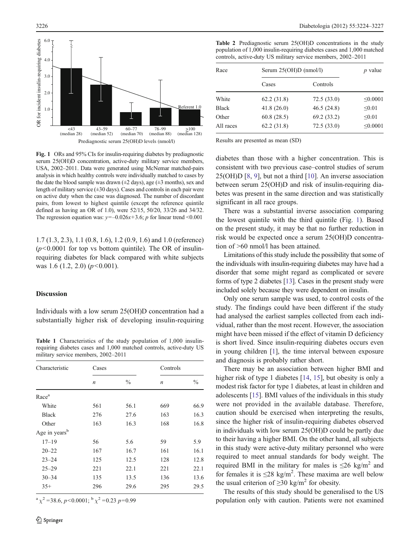<span id="page-2-0"></span>

Fig. 1 ORs and 95% CIs for insulin-requiring diabetes by prediagnostic serum 25(OH)D concentration, active-duty military service members, USA, 2002–2011. Data were generated using McNemar matched-pairs analysis in which healthy controls were individually matched to cases by the date the blood sample was drawn  $(\pm 2 \text{ days})$ , age  $(\pm 3 \text{ months})$ , sex and length of military service  $(\pm 30 \text{ days})$ . Cases and controls in each pair were on active duty when the case was diagnosed. The number of discordant pairs, from lowest to highest quintile (except the reference quintile defined as having an OR of 1.0), were 52/15, 50/20, 33/26 and 34/32. The regression equation was:  $v=-0.026x+3.6$ ; p for linear trend <0.001

1.7 (1.3, 2.3), 1.1 (0.8, 1.6), 1.2 (0.9, 1.6) and 1.0 (reference)  $(p<0.0001$  for top vs bottom quintile). The OR of insulinrequiring diabetes for black compared with white subjects was 1.6 (1.2, 2.0)  $(p<0.001)$ .

## Discussion

Individuals with a low serum 25(OH)D concentration had a substantially higher risk of developing insulin-requiring

Table 1 Characteristics of the study population of 1,000 insulinrequiring diabetes cases and 1,000 matched controls, active-duty US military service members, 2002–2011

| Characteristic            | Cases            |               | Controls         |               |
|---------------------------|------------------|---------------|------------------|---------------|
|                           | $\boldsymbol{n}$ | $\frac{0}{0}$ | $\boldsymbol{n}$ | $\frac{0}{0}$ |
| Race <sup>a</sup>         |                  |               |                  |               |
| White                     | 561              | 56.1          | 669              | 66.9          |
| <b>Black</b>              | 276              | 27.6          | 163              | 16.3          |
| Other                     | 163              | 16.3          | 168              | 16.8          |
| Age in years <sup>b</sup> |                  |               |                  |               |
| $17 - 19$                 | 56               | 5.6           | 59               | 5.9           |
| $20 - 22$                 | 167              | 16.7          | 161              | 16.1          |
| $23 - 24$                 | 125              | 12.5          | 128              | 12.8          |
| $25 - 29$                 | 221              | 22.1          | 221              | 22.1          |
| $30 - 34$                 | 135              | 13.5          | 136              | 13.6          |
| $35+$                     | 296              | 29.6          | 295              | 29.5          |

 $a \gamma^2 = 38.6$ , p<0.0001;  $b \gamma^2 = 0.23$  p=0.99

Table 2 Prediagnostic serum 25(OH)D concentrations in the study population of 1,000 insulin-requiring diabetes cases and 1,000 matched controls, active-duty US military service members, 2002–2011

| Race         | Serum 25(OH)D (nmol/l) |             | $p$ value     |
|--------------|------------------------|-------------|---------------|
|              | Cases                  | Controls    |               |
| White        | 62.2(31.8)             | 72.5(33.0)  | < 0.0001      |
| <b>Black</b> | 41.8(26.0)             | 46.5(24.8)  | < 0.01        |
| Other        | 60.8(28.5)             | 69.2 (33.2) | < 0.01        |
| All races    | 62.2(31.8)             | 72.5(33.0)  | $\leq 0.0001$ |

Results are presented as mean (SD)

diabetes than those with a higher concentration. This is consistent with two previous case–control studies of serum 25(OH)D [[8](#page-3-0), [9](#page-3-0)], but not a third [[10\]](#page-3-0). An inverse association between serum 25(OH)D and risk of insulin-requiring diabetes was present in the same direction and was statistically significant in all race groups.

There was a substantial inverse association comparing the lowest quintile with the third quintile (Fig. 1). Based on the present study, it may be that no further reduction in risk would be expected once a serum 25(OH)D concentration of >60 nmol/l has been attained.

Limitations of this study include the possibility that some of the individuals with insulin-requiring diabetes may have had a disorder that some might regard as complicated or severe forms of type 2 diabetes [\[13\]](#page-3-0). Cases in the present study were included solely because they were dependent on insulin.

Only one serum sample was used, to control costs of the study. The findings could have been different if the study had analysed the earliest samples collected from each individual, rather than the most recent. However, the association might have been missed if the effect of vitamin D deficiency is short lived. Since insulin-requiring diabetes occurs even in young children [[1\]](#page-3-0), the time interval between exposure and diagnosis is probably rather short.

There may be an association between higher BMI and higher risk of type 1 diabetes [\[14](#page-3-0), [15](#page-3-0)], but obesity is only a modest risk factor for type 1 diabetes, at least in children and adolescents [\[15](#page-3-0)]. BMI values of the individuals in this study were not provided in the available database. Therefore, caution should be exercised when interpreting the results, since the higher risk of insulin-requiring diabetes observed in individuals with low serum 25(OH)D could be partly due to their having a higher BMI. On the other hand, all subjects in this study were active-duty military personnel who were required to meet annual standards for body weight. The required BMI in the military for males is  $\leq 26$  kg/m<sup>2</sup> and for females it is  $\leq 28$  kg/m<sup>2</sup>. These maxima are well below the usual criterion of  $\geq$ 30 kg/m<sup>2</sup> for obesity.

The results of this study should be generalised to the US population only with caution. Patients were not examined